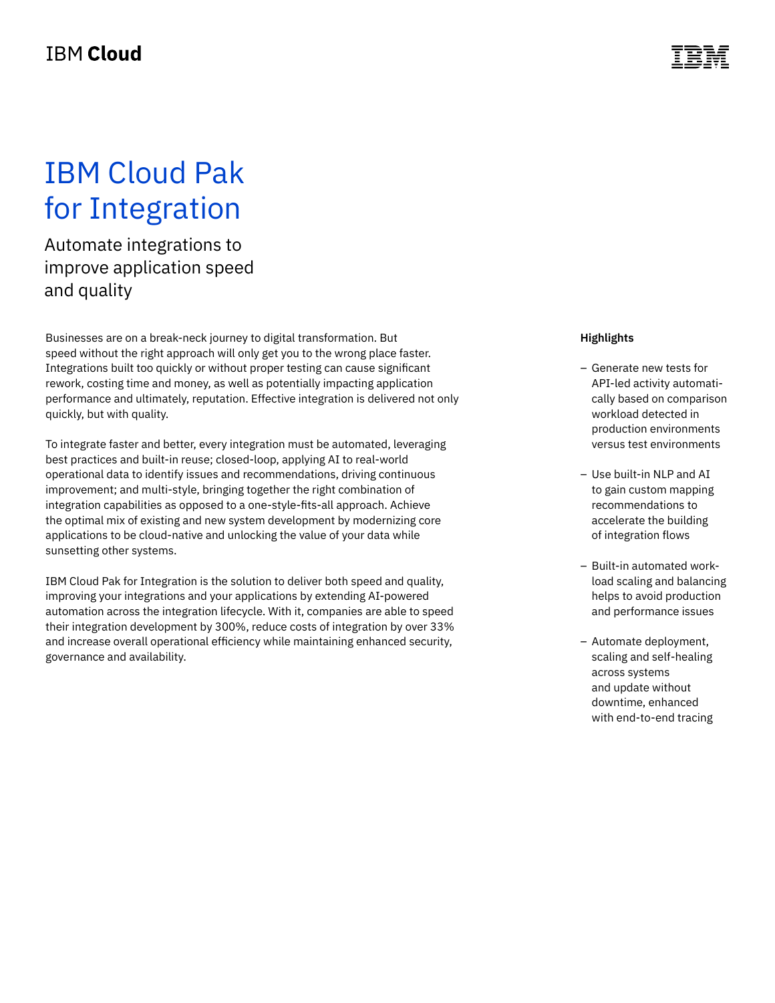## IBM Cloud Pak for Integration

Automate integrations to improve application speed and quality

Businesses are on a break-neck journey to digital transformation. But speed without the right approach will only get you to the wrong place faster. Integrations built too quickly or without proper testing can cause significant rework, costing time and money, as well as potentially impacting application performance and ultimately, reputation. Effective integration is delivered not only quickly, but with quality.

To integrate faster and better, every integration must be automated, leveraging best practices and built-in reuse; closed-loop, applying AI to real-world operational data to identify issues and recommendations, driving continuous improvement; and multi-style, bringing together the right combination of integration capabilities as opposed to a one-style-fits-all approach. Achieve the optimal mix of existing and new system development by modernizing core applications to be cloud-native and unlocking the value of your data while sunsetting other systems.

IBM Cloud Pak for Integration is the solution to deliver both speed and quality, improving your integrations and your applications by extending AI-powered automation across the integration lifecycle. With it, companies are able to speed their integration development by 300%, reduce costs of integration by over 33% and increase overall operational efficiency while maintaining enhanced security, governance and availability.

#### **Highlights**

- Generate new tests for API-led activity automatically based on comparison workload detected in production environments versus test environments
- Use built-in NLP and AI to gain custom mapping recommendations to accelerate the building of integration flows
- Built-in automated workload scaling and balancing helps to avoid production and performance issues
- Automate deployment, scaling and self-healing across systems and update without downtime, enhanced with end-to-end tracing

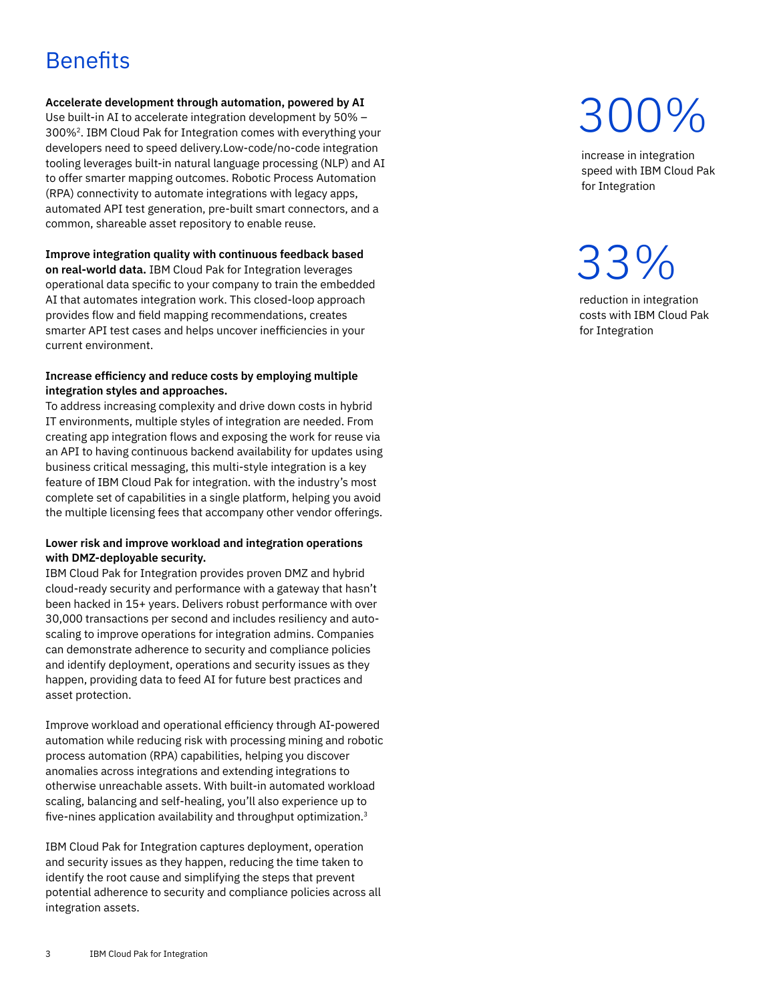### **Benefits**

#### **Accelerate development through automation, powered by AI**

Use built-in AI to accelerate integration development by 50% – 300%2. IBM Cloud Pak for Integration comes with everything your developers need to speed delivery.Low-code/no-code integration tooling leverages built-in natural language processing (NLP) and AI to offer smarter mapping outcomes. Robotic Process Automation (RPA) connectivity to automate integrations with legacy apps, automated API test generation, pre-built smart connectors, and a common, shareable asset repository to enable reuse.

#### **Improve integration quality with continuous feedback based**

**on real-world data.** IBM Cloud Pak for Integration leverages operational data specific to your company to train the embedded AI that automates integration work. This closed-loop approach provides flow and field mapping recommendations, creates smarter API test cases and helps uncover inefficiencies in your current environment.

#### **Increase efficiency and reduce costs by employing multiple integration styles and approaches.**

To address increasing complexity and drive down costs in hybrid IT environments, multiple styles of integration are needed. From creating app integration flows and exposing the work for reuse via an API to having continuous backend availability for updates using business critical messaging, this multi-style integration is a key feature of IBM Cloud Pak for integration. with the industry's most complete set of capabilities in a single platform, helping you avoid the multiple licensing fees that accompany other vendor offerings.

#### **Lower risk and improve workload and integration operations with DMZ-deployable security.**

IBM Cloud Pak for Integration provides proven DMZ and hybrid cloud-ready security and performance with a gateway that hasn't been hacked in 15+ years. Delivers robust performance with over 30,000 transactions per second and includes resiliency and autoscaling to improve operations for integration admins. Companies can demonstrate adherence to security and compliance policies and identify deployment, operations and security issues as they happen, providing data to feed AI for future best practices and asset protection.

Improve workload and operational efficiency through AI-powered automation while reducing risk with processing mining and robotic process automation (RPA) capabilities, helping you discover anomalies across integrations and extending integrations to otherwise unreachable assets. With built-in automated workload scaling, balancing and self-healing, you'll also experience up to five-nines application availability and throughput optimization.<sup>3</sup>

IBM Cloud Pak for Integration captures deployment, operation and security issues as they happen, reducing the time taken to identify the root cause and simplifying the steps that prevent potential adherence to security and compliance policies across all integration assets.

# 300%

increase in integration speed with IBM Cloud Pak for Integration

## 33%

reduction in integration costs with IBM Cloud Pak for Integration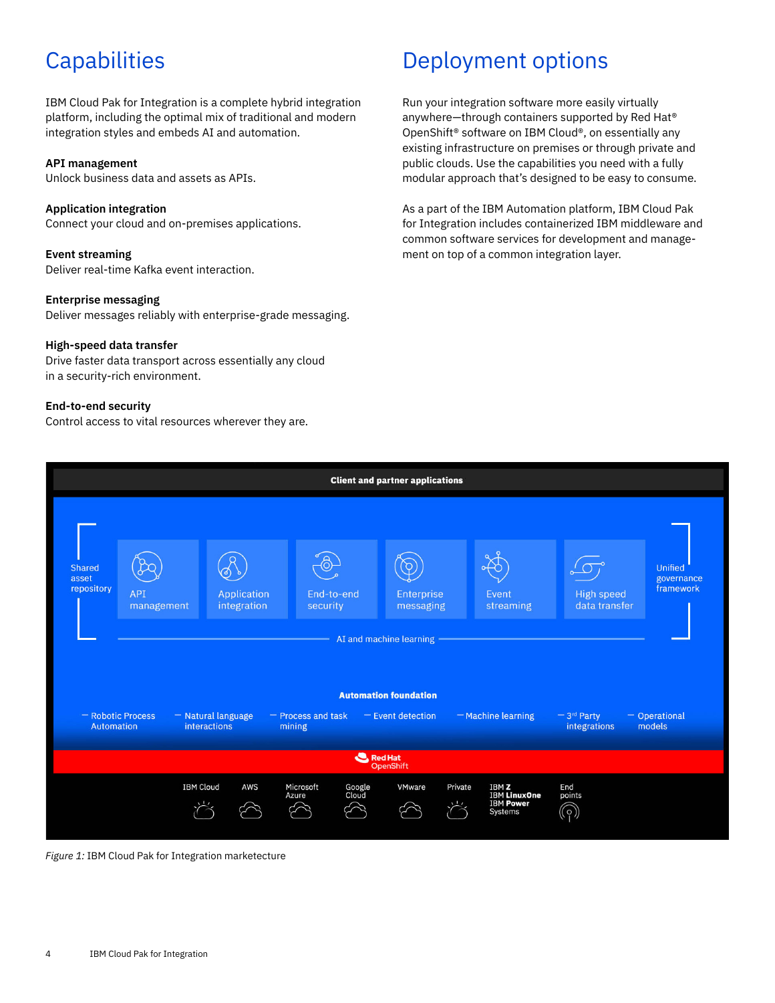### **Capabilities**

IBM Cloud Pak for Integration is a complete hybrid integration platform, including the optimal mix of traditional and modern integration styles and embeds AI and automation.

#### **API management**

Unlock business data and assets as APIs.

**Application integration** Connect your cloud and on-premises applications.

**Event streaming** Deliver real-time Kafka event interaction.

**Enterprise messaging** Deliver messages reliably with enterprise-grade messaging.

#### **High-speed data transfer**

Drive faster data transport across essentially any cloud in a security-rich environment.

#### **End-to-end security**

Control access to vital resources wherever they are.

### Deployment options

Run your integration software more easily virtually anywhere—through containers supported by Red Hat® OpenShift® software on IBM Cloud®, on essentially any existing infrastructure on premises or through private and public clouds. Use the capabilities you need with a fully modular approach that's designed to be easy to consume.

As a part of the IBM Automation platform, IBM Cloud Pak for Integration includes containerized IBM middleware and common software services for development and management on top of a common integration layer.



*Figure 1:* IBM Cloud Pak for Integration marketecture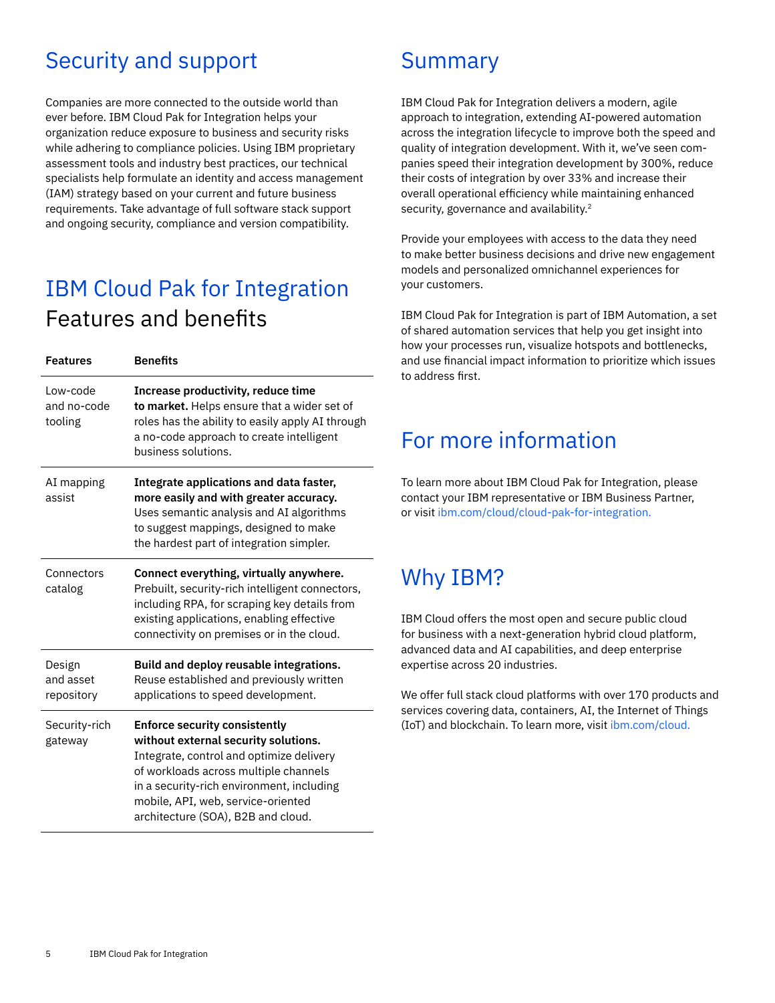### Security and support

Companies are more connected to the outside world than ever before. IBM Cloud Pak for Integration helps your organization reduce exposure to business and security risks while adhering to compliance policies. Using IBM proprietary assessment tools and industry best practices, our technical specialists help formulate an identity and access management (IAM) strategy based on your current and future business requirements. Take advantage of full software stack support and ongoing security, compliance and version compatibility.

### IBM Cloud Pak for Integration Features and benefits

| <b>Features</b>                    | <b>Benefits</b>                                                                                                                                                                                                                                                                            |
|------------------------------------|--------------------------------------------------------------------------------------------------------------------------------------------------------------------------------------------------------------------------------------------------------------------------------------------|
| Low-code<br>and no-code<br>tooling | Increase productivity, reduce time<br>to market. Helps ensure that a wider set of<br>roles has the ability to easily apply AI through<br>a no-code approach to create intelligent<br>business solutions.                                                                                   |
| AI mapping<br>assist               | Integrate applications and data faster,<br>more easily and with greater accuracy.<br>Uses semantic analysis and AI algorithms<br>to suggest mappings, designed to make<br>the hardest part of integration simpler.                                                                         |
| Connectors<br>catalog              | Connect everything, virtually anywhere.<br>Prebuilt, security-rich intelligent connectors,<br>including RPA, for scraping key details from<br>existing applications, enabling effective<br>connectivity on premises or in the cloud.                                                       |
| Design<br>and asset<br>repository  | Build and deploy reusable integrations.<br>Reuse established and previously written<br>applications to speed development.                                                                                                                                                                  |
| Security-rich<br>gateway           | <b>Enforce security consistently</b><br>without external security solutions.<br>Integrate, control and optimize delivery<br>of workloads across multiple channels<br>in a security-rich environment, including<br>mobile, API, web, service-oriented<br>architecture (SOA), B2B and cloud. |

### Summary

IBM Cloud Pak for Integration delivers a modern, agile approach to integration, extending AI-powered automation across the integration lifecycle to improve both the speed and quality of integration development. With it, we've seen companies speed their integration development by 300%, reduce their costs of integration by over 33% and increase their overall operational efficiency while maintaining enhanced security, governance and availability.<sup>2</sup>

Provide your employees with access to the data they need to make better business decisions and drive new engagement models and personalized omnichannel experiences for your customers.

IBM Cloud Pak for Integration is part of IBM Automation, a set of shared automation services that help you get insight into how your processes run, visualize hotspots and bottlenecks, and use financial impact information to prioritize which issues to address first.

### For more information

To learn more about IBM Cloud Pak for Integration, please contact your IBM representative or IBM Business Partner, or visit [ibm.com/cloud/cloud-pak-for-integration](http://ibm.com/cloud/cloud-pak-for-integration).

### Why IBM?

IBM Cloud offers the most open and secure public cloud for business with a next-generation hybrid cloud platform, advanced data and AI capabilities, and deep enterprise expertise across 20 industries.

We offer full stack cloud platforms with over 170 products and services covering data, containers, AI, the Internet of Things (IoT) and blockchain. To learn more, visit [ibm.com/cloud](https://www.ibm.com/cloud).